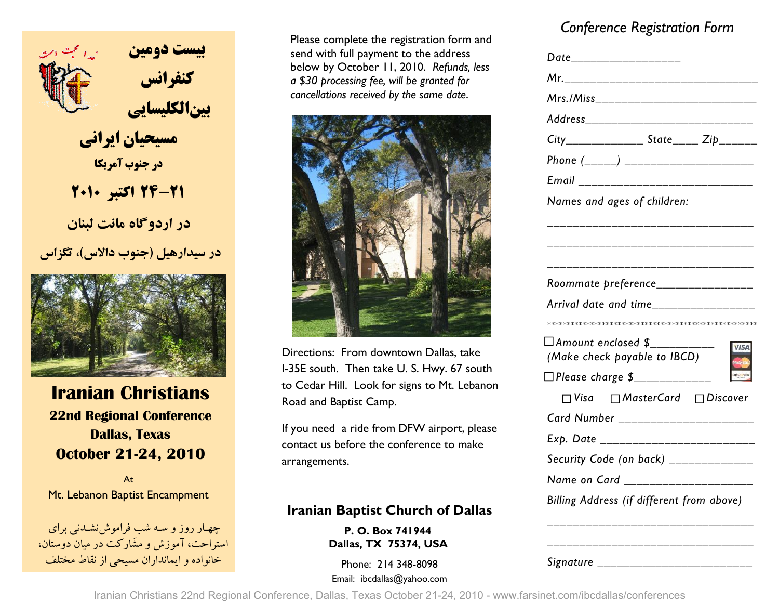

 **كنفرانس بين الكليسايي** 

 **مسيحيان ايراني در جنوب آمريكا24-21 اكتبر <sup>2010</sup>**

 **در اردوگاه مانت لبنان**

**در سيدارهيل (جنوب دالاس) ، تگزاس** 



**Iranian Christians 22nd Regional Conference Dallas, Texas October 21-24, 2010** 

AtMt. Lebanon Baptist Encampment

-چهــار روز و ســه شب فراموشiشــدنـی برای<br>استراحت، آموزش و مشَارکت در ميان دوستان، 348-8098 214 :Phone خانواده و ايمانداران مسيحي از نقاط مختلف

Please complete the registration form and send with full payment to the address below by October 11, 2010. *Refunds, less a \$30 processing fee, will be granted for cancellations received by the same date*.



Directions: From downtown Dallas, take I-35E south. Then take U. S. Hwy. 67 south to Cedar Hill. Look for signs to Mt. Lebanon Road and Baptist Camp.

If you need a ride from DFW airport, please contact us before the conference to make arrangements.

### **Iranian Baptist Church of Dallas**

**P. O. Box 741944 Dallas, TX 75374, USA** 

Email: ibcdallas@yahoo.com

## *Conference Registration Form*

|                                                        | Date___________________ |  |
|--------------------------------------------------------|-------------------------|--|
| Mr._______________________                             |                         |  |
| Mrs./Miss_______________________                       |                         |  |
| Address_____________________                           |                         |  |
| $City$ <sub>______________</sub> State_____ Zip_______ |                         |  |
|                                                        |                         |  |
| Email _______________________                          |                         |  |
| Names and ages of children:                            |                         |  |
|                                                        |                         |  |
|                                                        |                         |  |
|                                                        |                         |  |
| Roommate preference_________________                   |                         |  |
| Arrival date and time________________                  |                         |  |
|                                                        |                         |  |
| $\Box$ Amount enclosed \$_____                         |                         |  |
|                                                        |                         |  |
| (Make check payable to IBCD)                           |                         |  |
| □ Please charge \$______________                       |                         |  |
| $\Box$ Visa $\Box$ Master Card $\Box$ Discover         |                         |  |
| Card Number _____________________                      |                         |  |
| Exp. Date ____________________                         |                         |  |
| Security Code (on back) _____________                  |                         |  |
| Name on Card __________________                        |                         |  |

*Signature \_\_\_\_\_\_\_\_\_\_\_\_\_\_\_\_\_\_\_\_\_\_\_\_* 

Iranian Christians 22nd Regional Conference, Dallas, Texas October 21-24, 2010 - www.farsinet.com/ibcdallas/conferences